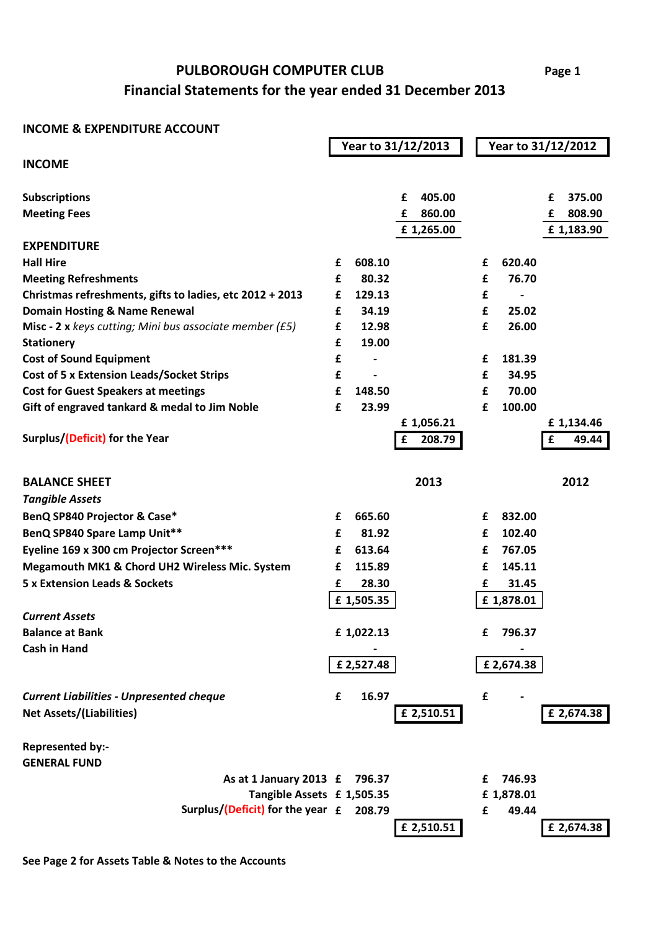## **Financial Statements for the year ended 31 December 2013 PULBOROUGH COMPUTER CLUB**

## **INCOME & EXPENDITURE ACCOUNT**

|                                                          |   | Year to 31/12/2013       |             |   | Year to 31/12/2012 |             |  |  |
|----------------------------------------------------------|---|--------------------------|-------------|---|--------------------|-------------|--|--|
| <b>INCOME</b>                                            |   |                          |             |   |                    |             |  |  |
|                                                          |   |                          |             |   |                    |             |  |  |
| <b>Subscriptions</b>                                     |   |                          | 405.00<br>£ |   |                    | 375.00<br>£ |  |  |
| <b>Meeting Fees</b>                                      |   |                          | 860.00<br>£ |   |                    | 808.90<br>£ |  |  |
|                                                          |   |                          | £1,265.00   |   |                    | £ 1,183.90  |  |  |
| <b>EXPENDITURE</b>                                       |   |                          |             |   |                    |             |  |  |
| <b>Hall Hire</b>                                         | £ | 608.10                   |             | £ | 620.40             |             |  |  |
| <b>Meeting Refreshments</b>                              | £ | 80.32                    |             | £ | 76.70              |             |  |  |
| Christmas refreshments, gifts to ladies, etc 2012 + 2013 | £ | 129.13                   |             | £ |                    |             |  |  |
| <b>Domain Hosting &amp; Name Renewal</b>                 | £ | 34.19                    |             | £ | 25.02              |             |  |  |
| Misc - 2 x keys cutting; Mini bus associate member (£5)  | £ | 12.98                    |             | £ | 26.00              |             |  |  |
| <b>Stationery</b>                                        | £ | 19.00                    |             |   |                    |             |  |  |
| <b>Cost of Sound Equipment</b>                           | £ |                          |             | £ | 181.39             |             |  |  |
| Cost of 5 x Extension Leads/Socket Strips                | £ | $\overline{\phantom{a}}$ |             | £ | 34.95              |             |  |  |
| <b>Cost for Guest Speakers at meetings</b>               | £ | 148.50                   |             | £ | 70.00              |             |  |  |
| Gift of engraved tankard & medal to Jim Noble            | £ | 23.99                    |             | £ | 100.00             |             |  |  |
|                                                          |   |                          | £1,056.21   |   |                    | £1,134.46   |  |  |
| Surplus/(Deficit) for the Year                           |   |                          | 208.79<br>£ |   |                    | 49.44<br>£  |  |  |
|                                                          |   |                          |             |   |                    |             |  |  |
| <b>BALANCE SHEET</b>                                     |   |                          | 2013        |   |                    | 2012        |  |  |
| <b>Tangible Assets</b>                                   |   |                          |             |   |                    |             |  |  |
| BenQ SP840 Projector & Case*                             | £ | 665.60                   |             | £ | 832.00             |             |  |  |
| BenQ SP840 Spare Lamp Unit**                             | £ | 81.92                    |             | £ | 102.40             |             |  |  |
| Eyeline 169 x 300 cm Projector Screen***                 | £ | 613.64                   |             | £ | 767.05             |             |  |  |
|                                                          |   | 115.89                   |             |   | 145.11             |             |  |  |
| Megamouth MK1 & Chord UH2 Wireless Mic. System           | £ |                          |             | £ |                    |             |  |  |
| <b>5 x Extension Leads &amp; Sockets</b>                 | £ | 28.30                    |             | £ | 31.45              |             |  |  |
|                                                          |   | £1,505.35                |             |   | £1,878.01          |             |  |  |
| <b>Current Assets</b>                                    |   |                          |             |   |                    |             |  |  |
| <b>Balance at Bank</b>                                   |   | £1,022.13                |             | £ | 796.37             |             |  |  |
| <b>Cash in Hand</b>                                      |   |                          |             |   |                    |             |  |  |
|                                                          |   | £ 2,527.48               |             |   | £ 2,674.38         |             |  |  |
| <b>Current Liabilities - Unpresented cheque</b>          | £ | 16.97                    |             | £ |                    |             |  |  |
| <b>Net Assets/(Liabilities)</b>                          |   |                          | £ 2,510.51  |   |                    | £ 2,674.38  |  |  |
|                                                          |   |                          |             |   |                    |             |  |  |
| Represented by:-                                         |   |                          |             |   |                    |             |  |  |
| <b>GENERAL FUND</b>                                      |   |                          |             |   |                    |             |  |  |
| As at 1 January 2013 £                                   |   | 796.37                   |             | £ | 746.93             |             |  |  |
| Tangible Assets £ 1,505.35                               |   |                          |             |   | £1,878.01          |             |  |  |
| Surplus/(Deficit) for the year £ 208.79                  |   |                          |             | £ | 49.44              |             |  |  |
|                                                          |   |                          | £ 2,510.51  |   |                    | £ 2,674.38  |  |  |

**See Page 2 for Assets Table & Notes to the Accounts**